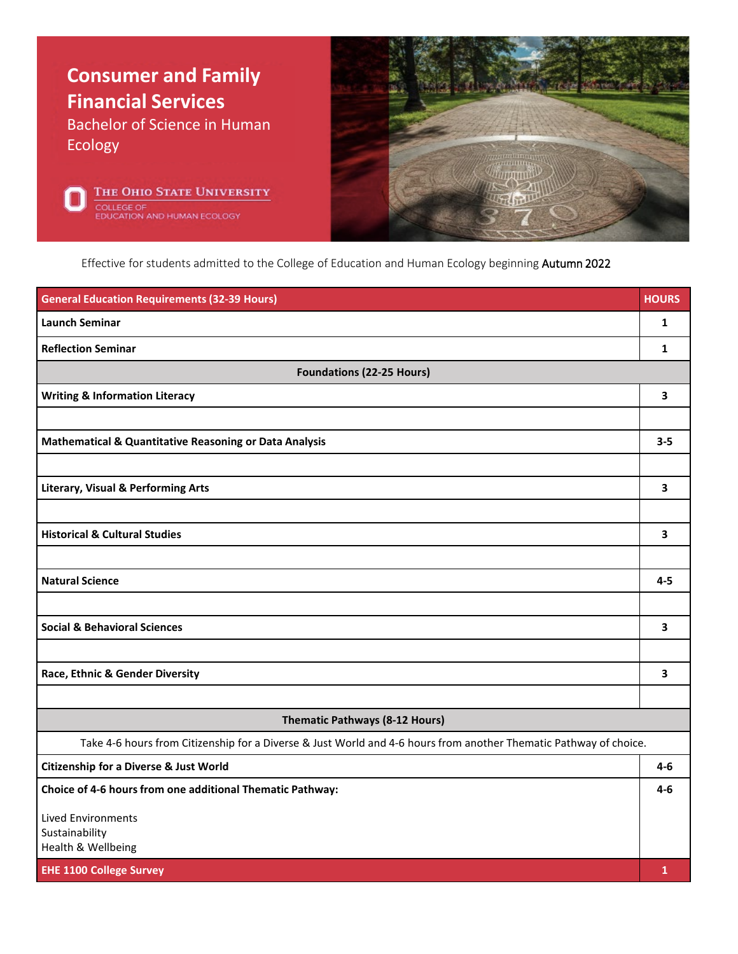





Effective for students admitted to the College of Education and Human Ecology beginning Autumn 2022

| <b>General Education Requirements (32-39 Hours)</b>                                                               | <b>HOURS</b> |  |
|-------------------------------------------------------------------------------------------------------------------|--------------|--|
| <b>Launch Seminar</b>                                                                                             | 1            |  |
| <b>Reflection Seminar</b>                                                                                         | 1            |  |
| <b>Foundations (22-25 Hours)</b>                                                                                  |              |  |
| <b>Writing &amp; Information Literacy</b>                                                                         | 3            |  |
|                                                                                                                   |              |  |
| Mathematical & Quantitative Reasoning or Data Analysis                                                            | $3 - 5$      |  |
|                                                                                                                   |              |  |
| <b>Literary, Visual &amp; Performing Arts</b>                                                                     | 3            |  |
|                                                                                                                   |              |  |
| <b>Historical &amp; Cultural Studies</b>                                                                          | 3            |  |
|                                                                                                                   |              |  |
| <b>Natural Science</b>                                                                                            | $4 - 5$      |  |
|                                                                                                                   |              |  |
| <b>Social &amp; Behavioral Sciences</b>                                                                           | 3            |  |
|                                                                                                                   |              |  |
| Race, Ethnic & Gender Diversity                                                                                   | 3            |  |
|                                                                                                                   |              |  |
| Thematic Pathways (8-12 Hours)                                                                                    |              |  |
| Take 4-6 hours from Citizenship for a Diverse & Just World and 4-6 hours from another Thematic Pathway of choice. |              |  |
| <b>Citizenship for a Diverse &amp; Just World</b>                                                                 | 4-6          |  |
| Choice of 4-6 hours from one additional Thematic Pathway:                                                         | $4-6$        |  |
| <b>Lived Environments</b>                                                                                         |              |  |
| Sustainability<br>Health & Wellbeing                                                                              |              |  |
| <b>EHE 1100 College Survey</b>                                                                                    | $\mathbf{1}$ |  |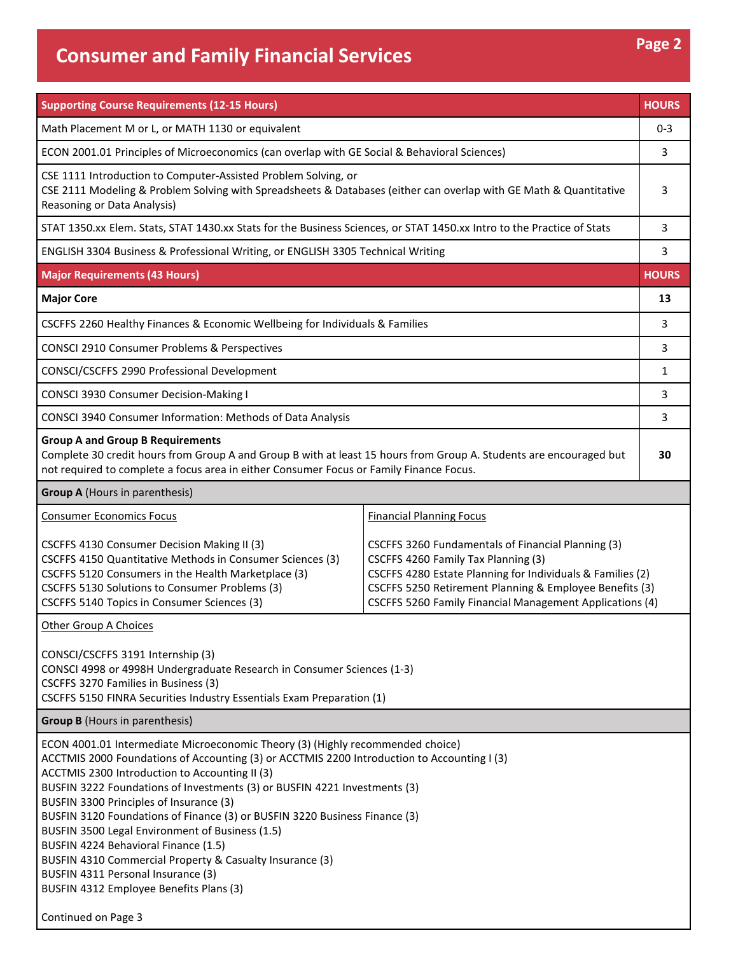## **Consumer and Family Financial Services Page 2 Page 2**

| <b>Supporting Course Requirements (12-15 Hours)</b>                                                                                                                                                                                                                                                                                                                                                                                                                                                                                                                                                                                                                           |                                                                                                                                                                                                                                                                                |              |  |
|-------------------------------------------------------------------------------------------------------------------------------------------------------------------------------------------------------------------------------------------------------------------------------------------------------------------------------------------------------------------------------------------------------------------------------------------------------------------------------------------------------------------------------------------------------------------------------------------------------------------------------------------------------------------------------|--------------------------------------------------------------------------------------------------------------------------------------------------------------------------------------------------------------------------------------------------------------------------------|--------------|--|
| Math Placement M or L, or MATH 1130 or equivalent                                                                                                                                                                                                                                                                                                                                                                                                                                                                                                                                                                                                                             |                                                                                                                                                                                                                                                                                | $0 - 3$      |  |
| ECON 2001.01 Principles of Microeconomics (can overlap with GE Social & Behavioral Sciences)                                                                                                                                                                                                                                                                                                                                                                                                                                                                                                                                                                                  |                                                                                                                                                                                                                                                                                | 3            |  |
| CSE 1111 Introduction to Computer-Assisted Problem Solving, or<br>CSE 2111 Modeling & Problem Solving with Spreadsheets & Databases (either can overlap with GE Math & Quantitative<br>Reasoning or Data Analysis)                                                                                                                                                                                                                                                                                                                                                                                                                                                            |                                                                                                                                                                                                                                                                                |              |  |
| STAT 1350.xx Elem. Stats, STAT 1430.xx Stats for the Business Sciences, or STAT 1450.xx Intro to the Practice of Stats                                                                                                                                                                                                                                                                                                                                                                                                                                                                                                                                                        |                                                                                                                                                                                                                                                                                | 3            |  |
| ENGLISH 3304 Business & Professional Writing, or ENGLISH 3305 Technical Writing                                                                                                                                                                                                                                                                                                                                                                                                                                                                                                                                                                                               |                                                                                                                                                                                                                                                                                | 3            |  |
| <b>Major Requirements (43 Hours)</b>                                                                                                                                                                                                                                                                                                                                                                                                                                                                                                                                                                                                                                          |                                                                                                                                                                                                                                                                                |              |  |
| <b>Major Core</b>                                                                                                                                                                                                                                                                                                                                                                                                                                                                                                                                                                                                                                                             |                                                                                                                                                                                                                                                                                | 13           |  |
| CSCFFS 2260 Healthy Finances & Economic Wellbeing for Individuals & Families                                                                                                                                                                                                                                                                                                                                                                                                                                                                                                                                                                                                  |                                                                                                                                                                                                                                                                                | 3            |  |
| CONSCI 2910 Consumer Problems & Perspectives                                                                                                                                                                                                                                                                                                                                                                                                                                                                                                                                                                                                                                  |                                                                                                                                                                                                                                                                                | 3            |  |
| CONSCI/CSCFFS 2990 Professional Development                                                                                                                                                                                                                                                                                                                                                                                                                                                                                                                                                                                                                                   |                                                                                                                                                                                                                                                                                | $\mathbf{1}$ |  |
| CONSCI 3930 Consumer Decision-Making I                                                                                                                                                                                                                                                                                                                                                                                                                                                                                                                                                                                                                                        |                                                                                                                                                                                                                                                                                | 3            |  |
| CONSCI 3940 Consumer Information: Methods of Data Analysis                                                                                                                                                                                                                                                                                                                                                                                                                                                                                                                                                                                                                    |                                                                                                                                                                                                                                                                                | 3            |  |
| <b>Group A and Group B Requirements</b><br>Complete 30 credit hours from Group A and Group B with at least 15 hours from Group A. Students are encouraged but<br>not required to complete a focus area in either Consumer Focus or Family Finance Focus.                                                                                                                                                                                                                                                                                                                                                                                                                      |                                                                                                                                                                                                                                                                                | 30           |  |
| <b>Group A (Hours in parenthesis)</b>                                                                                                                                                                                                                                                                                                                                                                                                                                                                                                                                                                                                                                         |                                                                                                                                                                                                                                                                                |              |  |
| <b>Consumer Economics Focus</b>                                                                                                                                                                                                                                                                                                                                                                                                                                                                                                                                                                                                                                               | <b>Financial Planning Focus</b>                                                                                                                                                                                                                                                |              |  |
| CSCFFS 4130 Consumer Decision Making II (3)<br>CSCFFS 4150 Quantitative Methods in Consumer Sciences (3)<br>CSCFFS 5120 Consumers in the Health Marketplace (3)<br>CSCFFS 5130 Solutions to Consumer Problems (3)<br>CSCFFS 5140 Topics in Consumer Sciences (3)                                                                                                                                                                                                                                                                                                                                                                                                              | CSCFFS 3260 Fundamentals of Financial Planning (3)<br>CSCFFS 4260 Family Tax Planning (3)<br>CSCFFS 4280 Estate Planning for Individuals & Families (2)<br>CSCFFS 5250 Retirement Planning & Employee Benefits (3)<br>CSCFFS 5260 Family Financial Management Applications (4) |              |  |
| <b>Other Group A Choices</b>                                                                                                                                                                                                                                                                                                                                                                                                                                                                                                                                                                                                                                                  |                                                                                                                                                                                                                                                                                |              |  |
| CONSCI/CSCFFS 3191 Internship (3)<br>CONSCI 4998 or 4998H Undergraduate Research in Consumer Sciences (1-3)<br>CSCFFS 3270 Families in Business (3)<br>CSCFFS 5150 FINRA Securities Industry Essentials Exam Preparation (1)                                                                                                                                                                                                                                                                                                                                                                                                                                                  |                                                                                                                                                                                                                                                                                |              |  |
| <b>Group B</b> (Hours in parenthesis)                                                                                                                                                                                                                                                                                                                                                                                                                                                                                                                                                                                                                                         |                                                                                                                                                                                                                                                                                |              |  |
| ECON 4001.01 Intermediate Microeconomic Theory (3) (Highly recommended choice)<br>ACCTMIS 2000 Foundations of Accounting (3) or ACCTMIS 2200 Introduction to Accounting I (3)<br>ACCTMIS 2300 Introduction to Accounting II (3)<br>BUSFIN 3222 Foundations of Investments (3) or BUSFIN 4221 Investments (3)<br>BUSFIN 3300 Principles of Insurance (3)<br>BUSFIN 3120 Foundations of Finance (3) or BUSFIN 3220 Business Finance (3)<br>BUSFIN 3500 Legal Environment of Business (1.5)<br>BUSFIN 4224 Behavioral Finance (1.5)<br>BUSFIN 4310 Commercial Property & Casualty Insurance (3)<br>BUSFIN 4311 Personal Insurance (3)<br>BUSFIN 4312 Employee Benefits Plans (3) |                                                                                                                                                                                                                                                                                |              |  |

Continued on Page 3